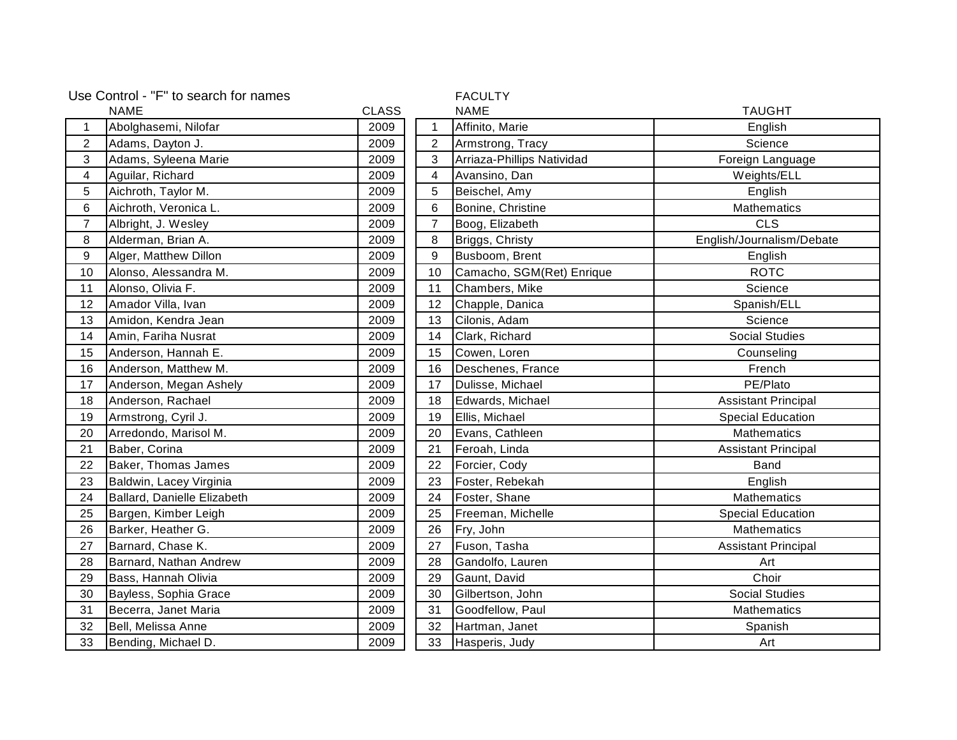| Use Control - "F" to search for names |                             |              |                | <b>FACULTY</b>             |                            |
|---------------------------------------|-----------------------------|--------------|----------------|----------------------------|----------------------------|
|                                       | NAME                        | <b>CLASS</b> |                | <b>NAME</b>                | <b>TAUGHT</b>              |
| $\mathbf{1}$                          | Abolghasemi, Nilofar        | 2009         | 1              | Affinito, Marie            | English                    |
| $\overline{2}$                        | Adams, Dayton J.            | 2009         | $\overline{2}$ | Armstrong, Tracy           | Science                    |
| 3                                     | Adams, Syleena Marie        | 2009         | 3              | Arriaza-Phillips Natividad | Foreign Language           |
| $\overline{4}$                        | Aguilar, Richard            | 2009         | 4              | Avansino, Dan              | Weights/ELL                |
| 5                                     | Aichroth, Taylor M.         | 2009         | 5              | Beischel, Amy              | English                    |
| 6                                     | Aichroth, Veronica L.       | 2009         | 6              | Bonine, Christine          | <b>Mathematics</b>         |
| $\overline{7}$                        | Albright, J. Wesley         | 2009         | $\overline{7}$ | Boog, Elizabeth            | <b>CLS</b>                 |
| 8                                     | Alderman, Brian A.          | 2009         | 8              | Briggs, Christy            | English/Journalism/Debate  |
| 9                                     | Alger, Matthew Dillon       | 2009         | 9              | Busboom, Brent             | English                    |
| 10                                    | Alonso, Alessandra M.       | 2009         | 10             | Camacho, SGM(Ret) Enrique  | <b>ROTC</b>                |
| 11                                    | Alonso, Olivia F.           | 2009         | 11             | Chambers, Mike             | Science                    |
| 12                                    | Amador Villa, Ivan          | 2009         | 12             | Chapple, Danica            | Spanish/ELL                |
| 13                                    | Amidon, Kendra Jean         | 2009         | 13             | Cilonis, Adam              | Science                    |
| 14                                    | Amin, Fariha Nusrat         | 2009         | 14             | Clark, Richard             | <b>Social Studies</b>      |
| 15                                    | Anderson, Hannah E.         | 2009         | 15             | Cowen, Loren               | Counseling                 |
| 16                                    | Anderson, Matthew M.        | 2009         | 16             | Deschenes, France          | French                     |
| 17                                    | Anderson, Megan Ashely      | 2009         | 17             | Dulisse, Michael           | PE/Plato                   |
| 18                                    | Anderson, Rachael           | 2009         | 18             | Edwards, Michael           | <b>Assistant Principal</b> |
| 19                                    | Armstrong, Cyril J.         | 2009         | 19             | Ellis, Michael             | <b>Special Education</b>   |
| 20                                    | Arredondo, Marisol M.       | 2009         | 20             | Evans, Cathleen            | <b>Mathematics</b>         |
| 21                                    | Baber, Corina               | 2009         | 21             | Feroah, Linda              | <b>Assistant Principal</b> |
| 22                                    | Baker, Thomas James         | 2009         | 22             | Forcier, Cody              | Band                       |
| 23                                    | Baldwin, Lacey Virginia     | 2009         | 23             | Foster, Rebekah            | English                    |
| 24                                    | Ballard, Danielle Elizabeth | 2009         | 24             | Foster, Shane              | <b>Mathematics</b>         |
| 25                                    | Bargen, Kimber Leigh        | 2009         | 25             | Freeman, Michelle          | <b>Special Education</b>   |
| 26                                    | Barker, Heather G.          | 2009         | 26             | Fry, John                  | <b>Mathematics</b>         |
| 27                                    | Barnard, Chase K.           | 2009         | 27             | Fuson, Tasha               | <b>Assistant Principal</b> |
| 28                                    | Barnard, Nathan Andrew      | 2009         | 28             | Gandolfo, Lauren           | Art                        |
| 29                                    | Bass, Hannah Olivia         | 2009         | 29             | Gaunt, David               | Choir                      |
| 30                                    | Bayless, Sophia Grace       | 2009         | 30             | Gilbertson, John           | <b>Social Studies</b>      |
| 31                                    | Becerra, Janet Maria        | 2009         | 31             | Goodfellow, Paul           | <b>Mathematics</b>         |
| 32                                    | Bell, Melissa Anne          | 2009         | 32             | Hartman, Janet             | Spanish                    |
| 33                                    | Bending, Michael D.         | 2009         | 33             | Hasperis, Judy             | Art                        |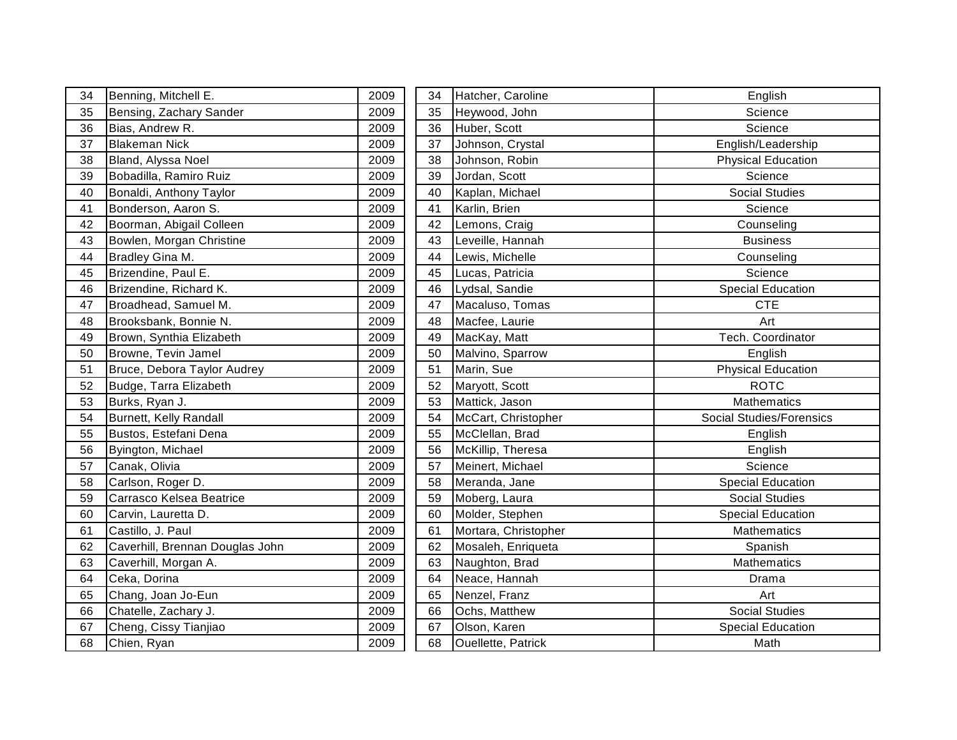| 34 | Benning, Mitchell E.            | 2009 | 34 | Hatcher, Caroline    | English                         |
|----|---------------------------------|------|----|----------------------|---------------------------------|
| 35 | Bensing, Zachary Sander         | 2009 | 35 | Heywood, John        | Science                         |
| 36 | Bias, Andrew R.                 | 2009 | 36 | Huber, Scott         | Science                         |
| 37 | <b>Blakeman Nick</b>            | 2009 | 37 | Johnson, Crystal     | English/Leadership              |
| 38 | Bland, Alyssa Noel              | 2009 | 38 | Johnson, Robin       | <b>Physical Education</b>       |
| 39 | Bobadilla, Ramiro Ruiz          | 2009 | 39 | Jordan, Scott        | Science                         |
| 40 | Bonaldi, Anthony Taylor         | 2009 | 40 | Kaplan, Michael      | <b>Social Studies</b>           |
| 41 | Bonderson, Aaron S.             | 2009 | 41 | Karlin, Brien        | Science                         |
| 42 | Boorman, Abigail Colleen        | 2009 | 42 | Lemons, Craig        | Counseling                      |
| 43 | Bowlen, Morgan Christine        | 2009 | 43 | Leveille, Hannah     | <b>Business</b>                 |
| 44 | Bradley Gina M.                 | 2009 | 44 | Lewis, Michelle      | Counseling                      |
| 45 | Brizendine, Paul E.             | 2009 | 45 | Lucas, Patricia      | Science                         |
| 46 | Brizendine, Richard K.          | 2009 | 46 | Lydsal, Sandie       | <b>Special Education</b>        |
| 47 | Broadhead, Samuel M.            | 2009 | 47 | Macaluso, Tomas      | <b>CTE</b>                      |
| 48 | Brooksbank, Bonnie N.           | 2009 | 48 | Macfee, Laurie       | Art                             |
| 49 | Brown, Synthia Elizabeth        | 2009 | 49 | MacKay, Matt         | Tech. Coordinator               |
| 50 | Browne, Tevin Jamel             | 2009 | 50 | Malvino, Sparrow     | English                         |
| 51 | Bruce, Debora Taylor Audrey     | 2009 | 51 | Marin, Sue           | <b>Physical Education</b>       |
| 52 | Budge, Tarra Elizabeth          | 2009 | 52 | Maryott, Scott       | <b>ROTC</b>                     |
| 53 | Burks, Ryan J.                  | 2009 | 53 | Mattick, Jason       | <b>Mathematics</b>              |
| 54 | Burnett, Kelly Randall          | 2009 | 54 | McCart, Christopher  | <b>Social Studies/Forensics</b> |
| 55 | Bustos, Estefani Dena           | 2009 | 55 | McClellan, Brad      | English                         |
| 56 | Byington, Michael               | 2009 | 56 | McKillip, Theresa    | English                         |
| 57 | Canak, Olivia                   | 2009 | 57 | Meinert, Michael     | Science                         |
| 58 | Carlson, Roger D.               | 2009 | 58 | Meranda, Jane        | <b>Special Education</b>        |
| 59 | Carrasco Kelsea Beatrice        | 2009 | 59 | Moberg, Laura        | <b>Social Studies</b>           |
| 60 | Carvin, Lauretta D.             | 2009 | 60 | Molder, Stephen      | <b>Special Education</b>        |
| 61 | Castillo, J. Paul               | 2009 | 61 | Mortara, Christopher | Mathematics                     |
| 62 | Caverhill, Brennan Douglas John | 2009 | 62 | Mosaleh, Enriqueta   | Spanish                         |
| 63 | Caverhill, Morgan A.            | 2009 | 63 | Naughton, Brad       | Mathematics                     |
| 64 | Ceka, Dorina                    | 2009 | 64 | Neace, Hannah        | Drama                           |
| 65 | Chang, Joan Jo-Eun              | 2009 | 65 | Nenzel, Franz        | Art                             |
| 66 | Chatelle, Zachary J.            | 2009 | 66 | Ochs, Matthew        | <b>Social Studies</b>           |
| 67 | Cheng, Cissy Tianjiao           | 2009 | 67 | Olson, Karen         | <b>Special Education</b>        |
| 68 | Chien, Ryan                     | 2009 | 68 | Ouellette, Patrick   | Math                            |
|    |                                 |      |    |                      |                                 |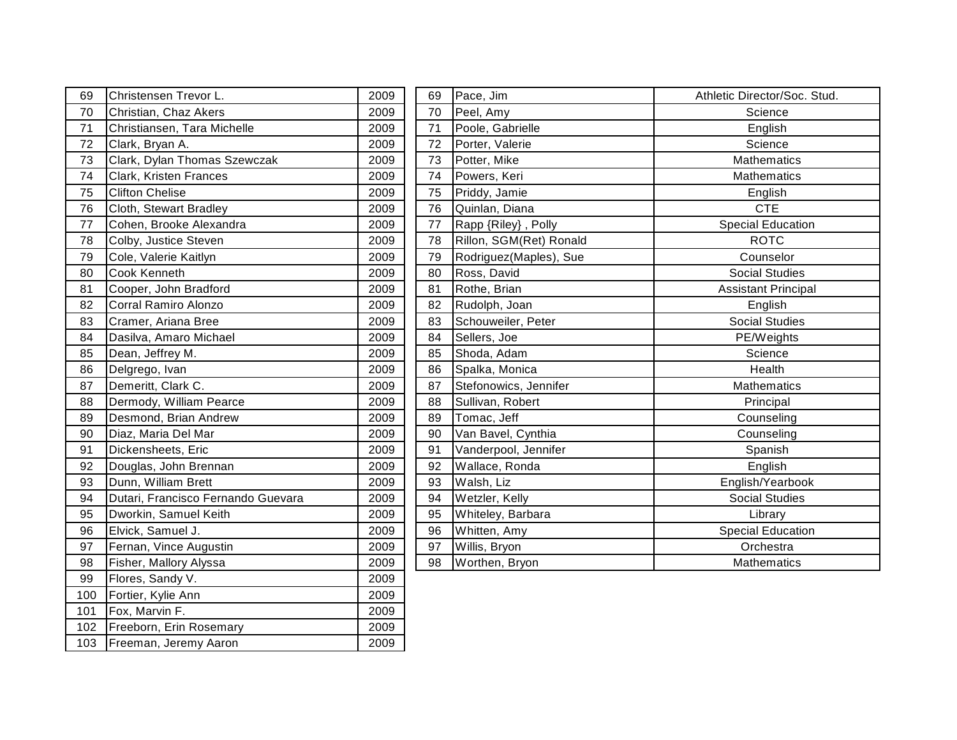| 69  | Christensen Trevor L.              | 2009 | 69 | Pace, Jim               | Athletic Director/Soc. Stud. |
|-----|------------------------------------|------|----|-------------------------|------------------------------|
| 70  | Christian, Chaz Akers              | 2009 | 70 | Peel, Amy               | Science                      |
| 71  | Christiansen, Tara Michelle        | 2009 | 71 | Poole, Gabrielle        | English                      |
| 72  | Clark, Bryan A.                    | 2009 | 72 | Porter, Valerie         | Science                      |
| 73  | Clark, Dylan Thomas Szewczak       | 2009 | 73 | Potter, Mike            | <b>Mathematics</b>           |
| 74  | Clark, Kristen Frances             | 2009 | 74 | Powers, Keri            | Mathematics                  |
| 75  | <b>Clifton Chelise</b>             | 2009 | 75 | Priddy, Jamie           | English                      |
| 76  | Cloth, Stewart Bradley             | 2009 | 76 | Quinlan, Diana          | <b>CTE</b>                   |
| 77  | Cohen, Brooke Alexandra            | 2009 | 77 | Rapp {Riley}, Polly     | <b>Special Education</b>     |
| 78  | Colby, Justice Steven              | 2009 | 78 | Rillon, SGM(Ret) Ronald | <b>ROTC</b>                  |
| 79  | Cole, Valerie Kaitlyn              | 2009 | 79 | Rodriguez(Maples), Sue  | Counselor                    |
| 80  | <b>Cook Kenneth</b>                | 2009 | 80 | Ross, David             | <b>Social Studies</b>        |
| 81  | Cooper, John Bradford              | 2009 | 81 | Rothe, Brian            | <b>Assistant Principal</b>   |
| 82  | Corral Ramiro Alonzo               | 2009 | 82 | Rudolph, Joan           | English                      |
| 83  | Cramer, Ariana Bree                | 2009 | 83 | Schouweiler, Peter      | <b>Social Studies</b>        |
| 84  | Dasilva, Amaro Michael             | 2009 | 84 | Sellers, Joe            | PE/Weights                   |
| 85  | Dean, Jeffrey M.                   | 2009 | 85 | Shoda, Adam             | Science                      |
| 86  | Delgrego, Ivan                     | 2009 | 86 | Spalka, Monica          | Health                       |
| 87  | Demeritt, Clark C.                 | 2009 | 87 | Stefonowics, Jennifer   | Mathematics                  |
| 88  | Dermody, William Pearce            | 2009 | 88 | Sullivan, Robert        | Principal                    |
| 89  | Desmond, Brian Andrew              | 2009 | 89 | Tomac, Jeff             | Counseling                   |
| 90  | Diaz, Maria Del Mar                | 2009 | 90 | Van Bavel, Cynthia      | Counseling                   |
| 91  | Dickensheets, Eric                 | 2009 | 91 | Vanderpool, Jennifer    | Spanish                      |
| 92  | Douglas, John Brennan              | 2009 | 92 | Wallace, Ronda          | English                      |
| 93  | Dunn, William Brett                | 2009 | 93 | Walsh, Liz              | English/Yearbook             |
| 94  | Dutari, Francisco Fernando Guevara | 2009 | 94 | Wetzler, Kelly          | <b>Social Studies</b>        |
| 95  | Dworkin, Samuel Keith              | 2009 | 95 | Whiteley, Barbara       | Library                      |
| 96  | Elvick, Samuel J.                  | 2009 | 96 | Whitten, Amy            | <b>Special Education</b>     |
| 97  | Fernan, Vince Augustin             | 2009 | 97 | Willis, Bryon           | Orchestra                    |
| 98  | Fisher, Mallory Alyssa             | 2009 | 98 | Worthen, Bryon          | <b>Mathematics</b>           |
| 99  | Flores, Sandy V.                   | 2009 |    |                         |                              |
| 100 | Fortier, Kylie Ann                 | 2009 |    |                         |                              |
| 101 | Fox, Marvin F.                     | 2009 |    |                         |                              |
| 102 | Freeborn, Erin Rosemary            | 2009 |    |                         |                              |
| 103 | Freeman, Jeremy Aaron              | 2009 |    |                         |                              |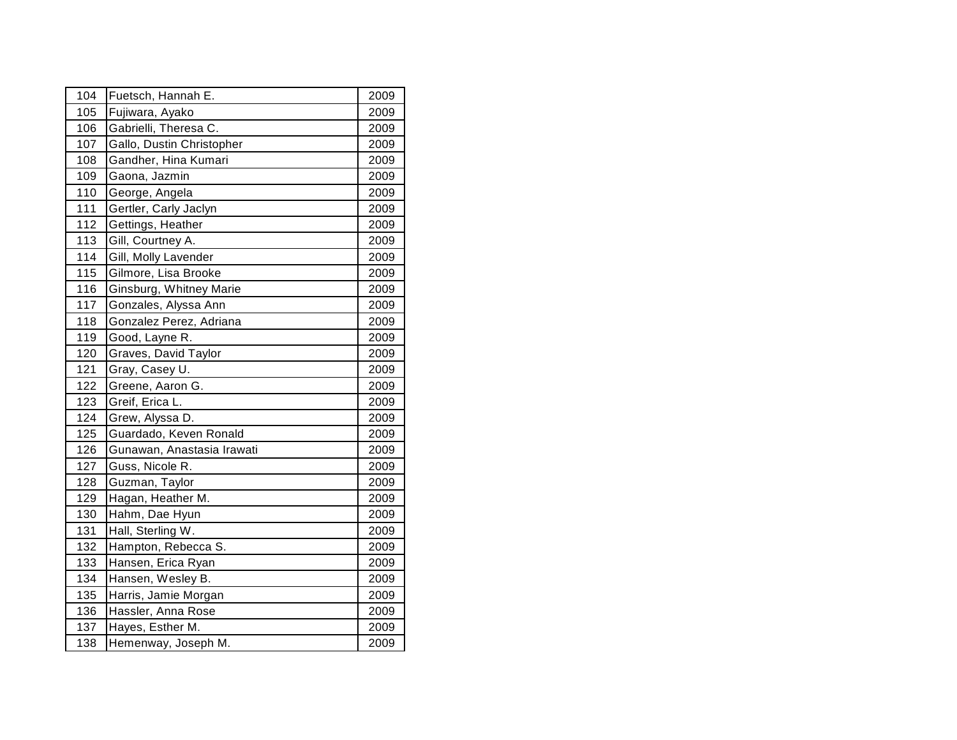| 104 | Fuetsch, Hannah E.         | 2009 |
|-----|----------------------------|------|
| 105 | Fujiwara, Ayako            | 2009 |
| 106 | Gabrielli, Theresa C.      | 2009 |
| 107 | Gallo, Dustin Christopher  | 2009 |
| 108 | Gandher, Hina Kumari       | 2009 |
| 109 | Gaona, Jazmin              | 2009 |
| 110 | George, Angela             | 2009 |
| 111 | Gertler, Carly Jaclyn      | 2009 |
| 112 | Gettings, Heather          | 2009 |
| 113 | Gill, Courtney A.          | 2009 |
| 114 | Gill, Molly Lavender       | 2009 |
| 115 | Gilmore, Lisa Brooke       | 2009 |
| 116 | Ginsburg, Whitney Marie    | 2009 |
| 117 | Gonzales, Alyssa Ann       | 2009 |
| 118 | Gonzalez Perez, Adriana    | 2009 |
| 119 | Good, Layne R.             | 2009 |
| 120 | Graves, David Taylor       | 2009 |
| 121 | Gray, Casey U.             | 2009 |
| 122 | Greene, Aaron G.           | 2009 |
| 123 | Greif, Erica L.            | 2009 |
| 124 | Grew, Alyssa D.            | 2009 |
| 125 | Guardado, Keven Ronald     | 2009 |
| 126 | Gunawan, Anastasia Irawati | 2009 |
| 127 | Guss, Nicole R.            | 2009 |
| 128 | Guzman, Taylor             | 2009 |
| 129 | Hagan, Heather M.          | 2009 |
| 130 | Hahm, Dae Hyun             | 2009 |
| 131 | Hall, Sterling W.          | 2009 |
| 132 | Hampton, Rebecca S.        | 2009 |
| 133 | Hansen, Erica Ryan         | 2009 |
| 134 | Hansen, Wesley B.          | 2009 |
| 135 | Harris, Jamie Morgan       | 2009 |
| 136 | Hassler, Anna Rose         | 2009 |
| 137 | Hayes, Esther M.           | 2009 |
| 138 | Hemenway, Joseph M.        | 2009 |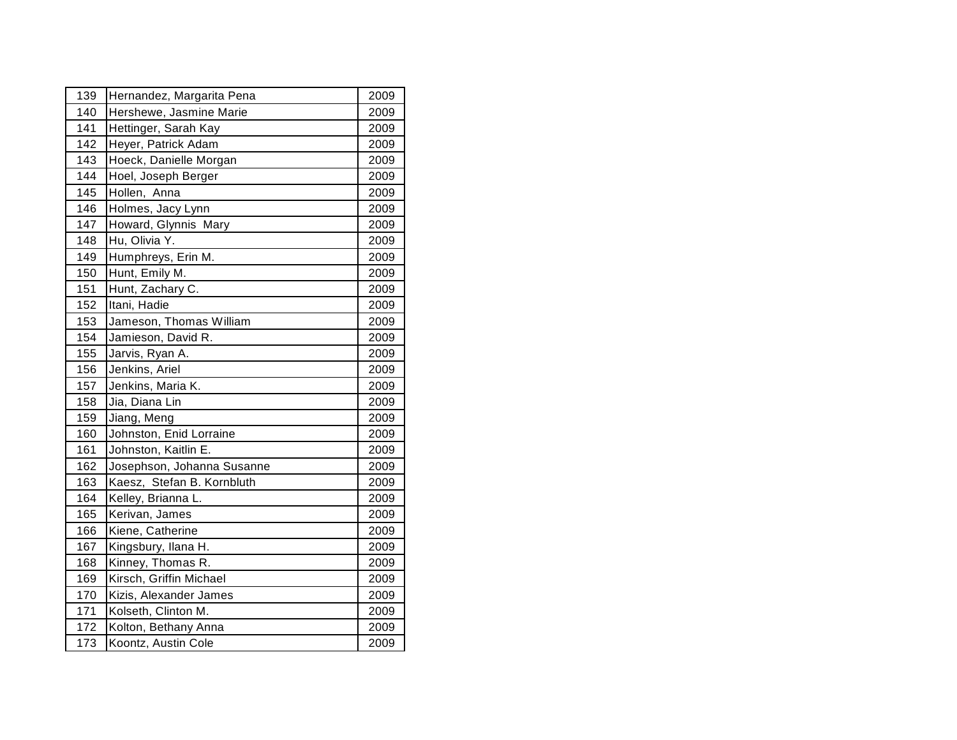| 139 | Hernandez, Margarita Pena  | 2009 |
|-----|----------------------------|------|
| 140 | Hershewe, Jasmine Marie    | 2009 |
| 141 | Hettinger, Sarah Kay       | 2009 |
| 142 | Heyer, Patrick Adam        | 2009 |
| 143 | Hoeck, Danielle Morgan     | 2009 |
| 144 | Hoel, Joseph Berger        | 2009 |
| 145 | Hollen, Anna               | 2009 |
| 146 | Holmes, Jacy Lynn          | 2009 |
| 147 | Howard, Glynnis Mary       | 2009 |
| 148 | Hu, Olivia Y.              | 2009 |
| 149 | Humphreys, Erin M.         | 2009 |
| 150 | Hunt, Emily M.             | 2009 |
| 151 | Hunt, Zachary C.           | 2009 |
| 152 | Itani, Hadie               | 2009 |
| 153 | Jameson, Thomas William    | 2009 |
| 154 | Jamieson, David R.         | 2009 |
| 155 | Jarvis, Ryan A.            | 2009 |
| 156 | Jenkins, Ariel             | 2009 |
| 157 | Jenkins, Maria K.          | 2009 |
| 158 | Jia, Diana Lin             | 2009 |
| 159 | Jiang, Meng                | 2009 |
| 160 | Johnston, Enid Lorraine    | 2009 |
| 161 | Johnston, Kaitlin E.       | 2009 |
| 162 | Josephson, Johanna Susanne | 2009 |
| 163 | Kaesz, Stefan B. Kornbluth | 2009 |
| 164 | Kelley, Brianna L.         | 2009 |
| 165 | Kerivan, James             | 2009 |
| 166 | Kiene, Catherine           | 2009 |
| 167 | Kingsbury, Ilana H.        | 2009 |
| 168 | Kinney, Thomas R.          | 2009 |
| 169 | Kirsch, Griffin Michael    | 2009 |
| 170 | Kizis, Alexander James     | 2009 |
| 171 | Kolseth, Clinton M.        | 2009 |
| 172 | Kolton, Bethany Anna       | 2009 |
| 173 | Koontz, Austin Cole        | 2009 |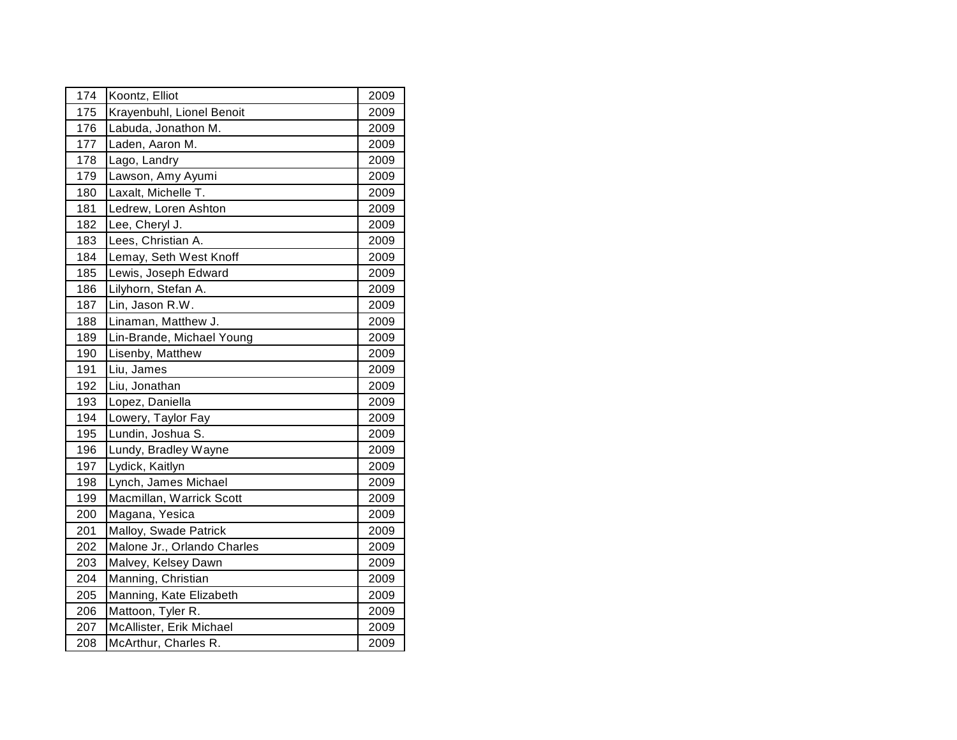| 174 | Koontz, Elliot              | 2009 |
|-----|-----------------------------|------|
| 175 | Krayenbuhl, Lionel Benoit   | 2009 |
| 176 | Labuda, Jonathon M.         | 2009 |
| 177 | Laden, Aaron M.             | 2009 |
| 178 | Lago, Landry                | 2009 |
| 179 | Lawson, Amy Ayumi           | 2009 |
| 180 | Laxalt, Michelle T.         | 2009 |
| 181 | Ledrew, Loren Ashton        | 2009 |
| 182 | Lee, Cheryl J.              | 2009 |
| 183 | Lees, Christian A.          | 2009 |
| 184 | Lemay, Seth West Knoff      | 2009 |
| 185 | Lewis, Joseph Edward        | 2009 |
| 186 | Lilyhorn, Stefan A.         | 2009 |
| 187 | Lin, Jason R.W.             | 2009 |
| 188 | Linaman, Matthew J.         | 2009 |
| 189 | Lin-Brande, Michael Young   | 2009 |
| 190 | Lisenby, Matthew            | 2009 |
| 191 | Liu, James                  | 2009 |
| 192 | Liu, Jonathan               | 2009 |
| 193 | Lopez, Daniella             | 2009 |
| 194 | Lowery, Taylor Fay          | 2009 |
| 195 | Lundin, Joshua S.           | 2009 |
| 196 | Lundy, Bradley Wayne        | 2009 |
| 197 | Lydick, Kaitlyn             | 2009 |
| 198 | Lynch, James Michael        | 2009 |
| 199 | Macmillan, Warrick Scott    | 2009 |
| 200 | Magana, Yesica              | 2009 |
| 201 | Malloy, Swade Patrick       | 2009 |
| 202 | Malone Jr., Orlando Charles | 2009 |
| 203 | Malvey, Kelsey Dawn         | 2009 |
| 204 | Manning, Christian          | 2009 |
| 205 | Manning, Kate Elizabeth     | 2009 |
| 206 | Mattoon, Tyler R.           | 2009 |
| 207 | McAllister, Erik Michael    | 2009 |
| 208 | McArthur, Charles R.        | 2009 |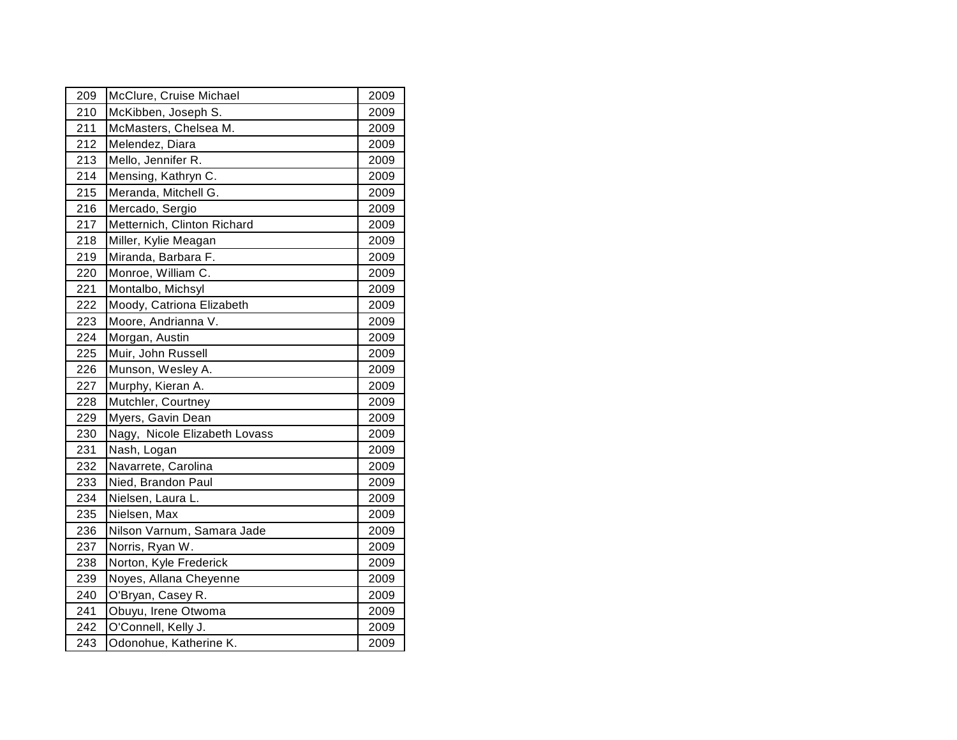| 210 |                               |      |
|-----|-------------------------------|------|
|     | McKibben, Joseph S.           | 2009 |
| 211 | McMasters, Chelsea M.         | 2009 |
| 212 | Melendez, Diara               | 2009 |
| 213 | Mello, Jennifer R.            | 2009 |
| 214 | Mensing, Kathryn C.           | 2009 |
| 215 | Meranda, Mitchell G.          | 2009 |
| 216 | Mercado, Sergio               | 2009 |
| 217 | Metternich, Clinton Richard   | 2009 |
| 218 | Miller, Kylie Meagan          | 2009 |
| 219 | Miranda, Barbara F.           | 2009 |
| 220 | Monroe, William C.            | 2009 |
| 221 | Montalbo, Michsyl             | 2009 |
| 222 | Moody, Catriona Elizabeth     | 2009 |
| 223 | Moore, Andrianna V.           | 2009 |
| 224 | Morgan, Austin                | 2009 |
| 225 | Muir, John Russell            | 2009 |
| 226 | Munson, Wesley A.             | 2009 |
| 227 | Murphy, Kieran A.             | 2009 |
| 228 | Mutchler, Courtney            | 2009 |
| 229 | Myers, Gavin Dean             | 2009 |
| 230 | Nagy, Nicole Elizabeth Lovass | 2009 |
| 231 | Nash, Logan                   | 2009 |
| 232 | Navarrete, Carolina           | 2009 |
| 233 | Nied, Brandon Paul            | 2009 |
| 234 | Nielsen, Laura L.             | 2009 |
| 235 | Nielsen, Max                  | 2009 |
| 236 | Nilson Varnum, Samara Jade    | 2009 |
| 237 | Norris, Ryan W.               | 2009 |
| 238 | Norton, Kyle Frederick        | 2009 |
| 239 | Noyes, Allana Cheyenne        | 2009 |
| 240 | O'Bryan, Casey R.             | 2009 |
| 241 | Obuyu, Irene Otwoma           | 2009 |
| 242 | O'Connell, Kelly J.           | 2009 |
| 243 | Odonohue, Katherine K.        | 2009 |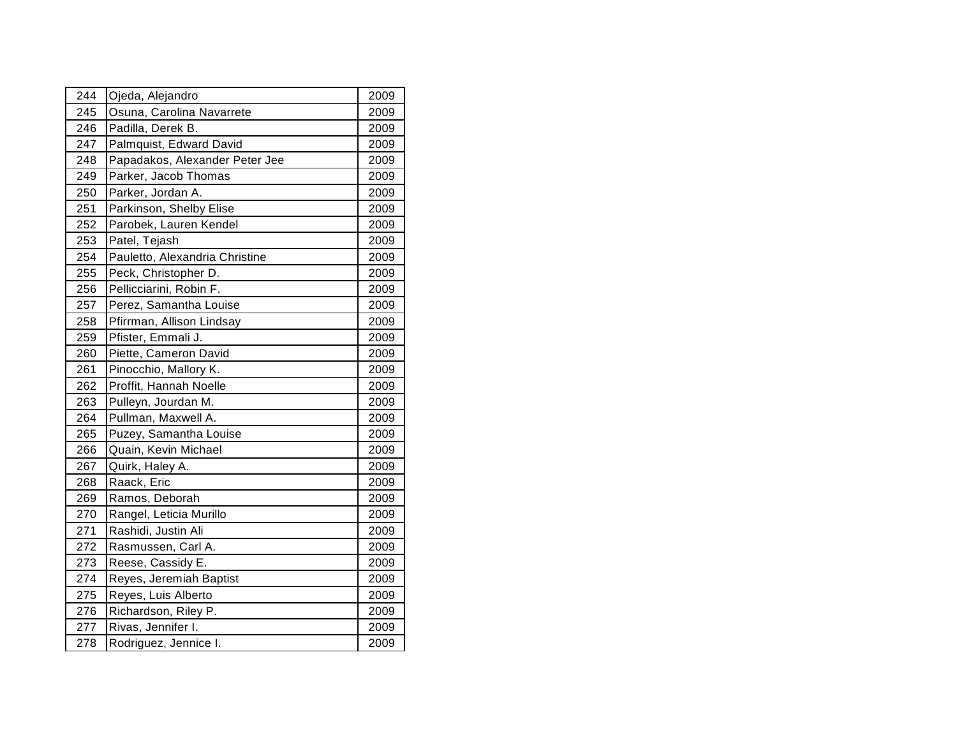| 244 | Ojeda, Alejandro               | 2009 |
|-----|--------------------------------|------|
| 245 | Osuna, Carolina Navarrete      | 2009 |
| 246 | Padilla, Derek B.              | 2009 |
| 247 | Palmquist, Edward David        | 2009 |
| 248 | Papadakos, Alexander Peter Jee | 2009 |
| 249 | Parker, Jacob Thomas           | 2009 |
| 250 | Parker, Jordan A.              | 2009 |
| 251 | Parkinson, Shelby Elise        | 2009 |
| 252 | Parobek, Lauren Kendel         | 2009 |
| 253 | Patel, Tejash                  | 2009 |
| 254 | Pauletto, Alexandria Christine | 2009 |
| 255 | Peck, Christopher D.           | 2009 |
| 256 | Pellicciarini, Robin F.        | 2009 |
| 257 | Perez, Samantha Louise         | 2009 |
| 258 | Pfirrman, Allison Lindsay      | 2009 |
| 259 | Pfister, Emmali J.             | 2009 |
| 260 | Piette, Cameron David          | 2009 |
| 261 | Pinocchio, Mallory K.          | 2009 |
| 262 | Proffit, Hannah Noelle         | 2009 |
| 263 | Pulleyn, Jourdan M.            | 2009 |
| 264 | Pullman, Maxwell A.            | 2009 |
| 265 | Puzey, Samantha Louise         | 2009 |
| 266 | Quain, Kevin Michael           | 2009 |
| 267 | Quirk, Haley A.                | 2009 |
| 268 | Raack, Eric                    | 2009 |
| 269 | Ramos, Deborah                 | 2009 |
| 270 | Rangel, Leticia Murillo        | 2009 |
| 271 | Rashidi, Justin Ali            | 2009 |
| 272 | Rasmussen, Carl A.             | 2009 |
| 273 | Reese, Cassidy E.              | 2009 |
| 274 | Reyes, Jeremiah Baptist        | 2009 |
| 275 | Reyes, Luis Alberto            | 2009 |
| 276 | Richardson, Riley P.           | 2009 |
| 277 | Rivas, Jennifer I.             | 2009 |
| 278 | Rodriguez, Jennice I.          | 2009 |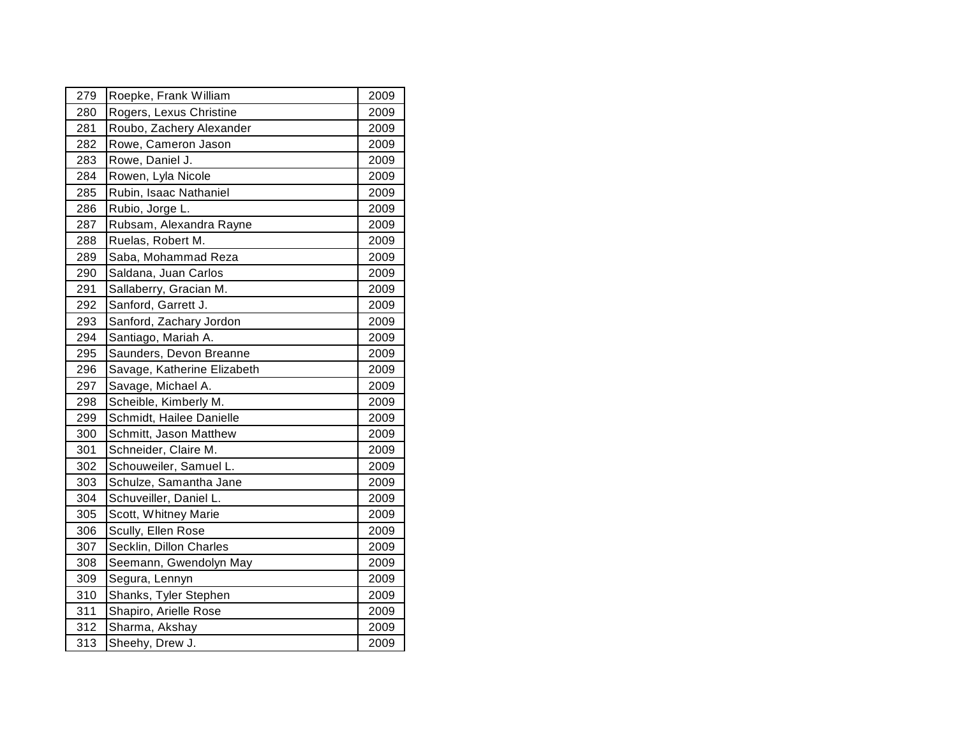|     | Roepke, Frank William       | 2009 |
|-----|-----------------------------|------|
| 280 | Rogers, Lexus Christine     | 2009 |
| 281 | Roubo, Zachery Alexander    | 2009 |
| 282 | Rowe, Cameron Jason         | 2009 |
| 283 | Rowe, Daniel J.             | 2009 |
| 284 | Rowen, Lyla Nicole          | 2009 |
| 285 | Rubin, Isaac Nathaniel      | 2009 |
| 286 | Rubio, Jorge L.             | 2009 |
| 287 | Rubsam, Alexandra Rayne     | 2009 |
| 288 | Ruelas, Robert M.           | 2009 |
| 289 | Saba, Mohammad Reza         | 2009 |
| 290 | Saldana, Juan Carlos        | 2009 |
| 291 | Sallaberry, Gracian M.      | 2009 |
| 292 | Sanford, Garrett J.         | 2009 |
| 293 | Sanford, Zachary Jordon     | 2009 |
| 294 | Santiago, Mariah A.         | 2009 |
| 295 | Saunders, Devon Breanne     | 2009 |
| 296 | Savage, Katherine Elizabeth | 2009 |
| 297 | Savage, Michael A.          | 2009 |
| 298 | Scheible, Kimberly M.       | 2009 |
| 299 | Schmidt, Hailee Danielle    | 2009 |
| 300 | Schmitt, Jason Matthew      | 2009 |
| 301 | Schneider, Claire M.        | 2009 |
| 302 | Schouweiler, Samuel L.      | 2009 |
| 303 | Schulze, Samantha Jane      | 2009 |
| 304 | Schuveiller, Daniel L.      | 2009 |
| 305 | Scott, Whitney Marie        | 2009 |
| 306 | Scully, Ellen Rose          | 2009 |
| 307 | Secklin, Dillon Charles     | 2009 |
| 308 | Seemann, Gwendolyn May      | 2009 |
| 309 | Segura, Lennyn              | 2009 |
| 310 | Shanks, Tyler Stephen       | 2009 |
| 311 | Shapiro, Arielle Rose       | 2009 |
| 312 | Sharma, Akshay              | 2009 |
| 313 | Sheehy, Drew J.             | 2009 |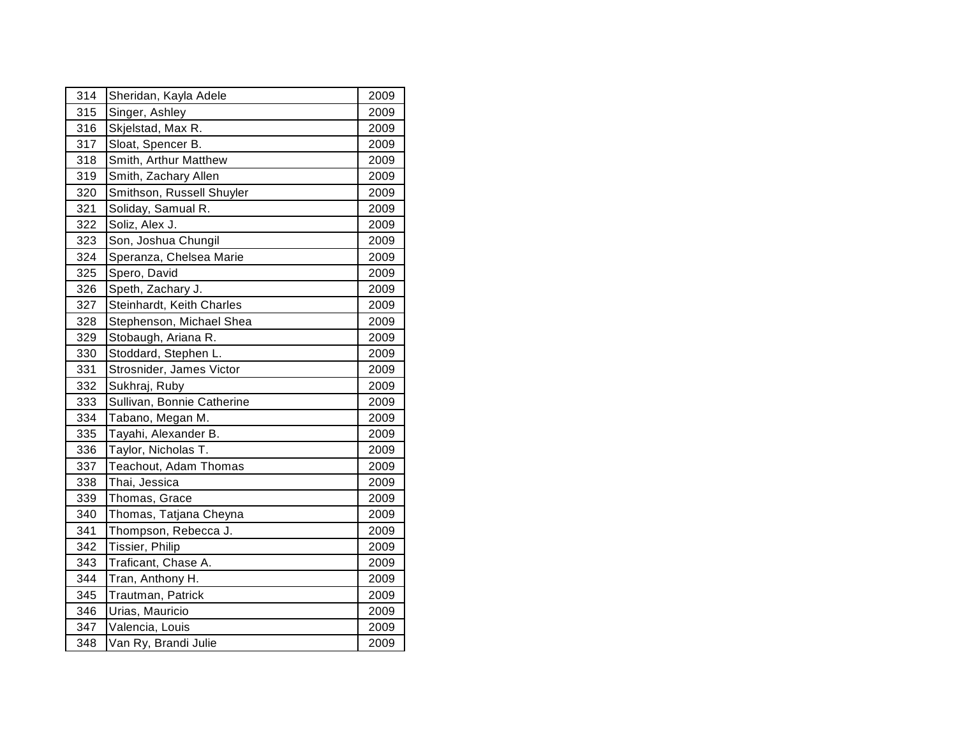| 314 | Sheridan, Kayla Adele      | 2009 |  |
|-----|----------------------------|------|--|
| 315 | Singer, Ashley             | 2009 |  |
| 316 | Skjelstad, Max R.          | 2009 |  |
| 317 | Sloat, Spencer B.          | 2009 |  |
| 318 | Smith, Arthur Matthew      | 2009 |  |
| 319 | Smith, Zachary Allen       | 2009 |  |
| 320 | Smithson, Russell Shuyler  | 2009 |  |
| 321 | Soliday, Samual R.         | 2009 |  |
| 322 | Soliz, Alex J.             | 2009 |  |
| 323 | Son, Joshua Chungil        | 2009 |  |
| 324 | Speranza, Chelsea Marie    | 2009 |  |
| 325 | Spero, David               | 2009 |  |
| 326 | Speth, Zachary J.          | 2009 |  |
| 327 | Steinhardt, Keith Charles  | 2009 |  |
| 328 | Stephenson, Michael Shea   | 2009 |  |
| 329 | Stobaugh, Ariana R.        | 2009 |  |
| 330 | Stoddard, Stephen L.       | 2009 |  |
| 331 | Strosnider, James Victor   | 2009 |  |
| 332 | Sukhraj, Ruby              | 2009 |  |
| 333 | Sullivan, Bonnie Catherine | 2009 |  |
| 334 | Tabano, Megan M.           | 2009 |  |
| 335 | Tayahi, Alexander B.       | 2009 |  |
| 336 | Taylor, Nicholas T.        | 2009 |  |
| 337 | Teachout, Adam Thomas      | 2009 |  |
| 338 | Thai, Jessica              | 2009 |  |
| 339 | Thomas, Grace              | 2009 |  |
| 340 | Thomas, Tatjana Cheyna     | 2009 |  |
| 341 | Thompson, Rebecca J.       | 2009 |  |
| 342 | Tissier, Philip            | 2009 |  |
| 343 | Traficant, Chase A.        | 2009 |  |
| 344 | Tran, Anthony H.           | 2009 |  |
| 345 | Trautman, Patrick          | 2009 |  |
| 346 | Urias, Mauricio            | 2009 |  |
| 347 | Valencia, Louis            | 2009 |  |
| 348 | Van Ry, Brandi Julie       | 2009 |  |